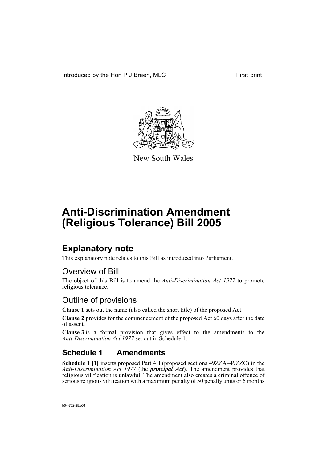Introduced by the Hon P J Breen, MLC First print



New South Wales

# **Anti-Discrimination Amendment (Religious Tolerance) Bill 2005**

## **Explanatory note**

This explanatory note relates to this Bill as introduced into Parliament.

### Overview of Bill

The object of this Bill is to amend the *Anti-Discrimination Act 1977* to promote religious tolerance.

### Outline of provisions

**Clause 1** sets out the name (also called the short title) of the proposed Act.

**Clause 2** provides for the commencement of the proposed Act 60 days after the date of assent.

**Clause 3** is a formal provision that gives effect to the amendments to the *Anti-Discrimination Act 1977* set out in Schedule 1.

### **Schedule 1 Amendments**

**Schedule 1 [1]** inserts proposed Part 4H (proposed sections 49ZZA–49ZZC) in the *Anti-Discrimination Act 1977* (the *principal Act*). The amendment provides that religious vilification is unlawful. The amendment also creates a criminal offence of serious religious vilification with a maximum penalty of 50 penalty units or 6 months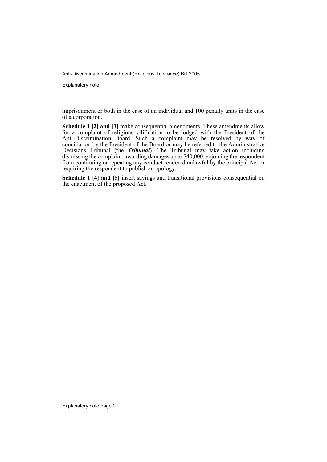Explanatory note

imprisonment or both in the case of an individual and 100 penalty units in the case of a corporation.

**Schedule 1 [2] and [3]** make consequential amendments. These amendments allow for a complaint of religious vilification to be lodged with the President of the Anti-Discrimination Board. Such a complaint may be resolved by way of conciliation by the President of the Board or may be referred to the Administrative Decisions Tribunal (the *Tribunal*). The Tribunal may take action including dismissing the complaint, awarding damages up to \$40,000, enjoining the respondent from continuing or repeating any conduct rendered unlawful by the principal Act or requiring the respondent to publish an apology.

**Schedule 1 [4] and [5]** insert savings and transitional provisions consequential on the enactment of the proposed Act.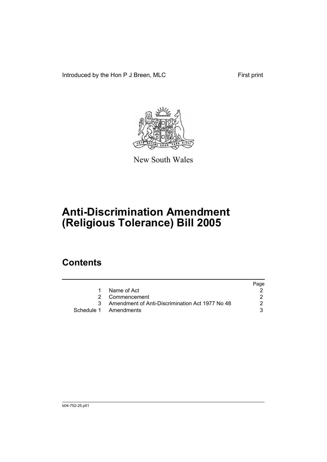Introduced by the Hon P J Breen, MLC First print



New South Wales

# **Anti-Discrimination Amendment (Religious Tolerance) Bill 2005**

## **Contents**

|    |                                                   | Page |
|----|---------------------------------------------------|------|
| 1. | Name of Act                                       |      |
|    | 2 Commencement                                    |      |
|    | 3 Amendment of Anti-Discrimination Act 1977 No 48 |      |
|    | Schedule 1 Amendments                             |      |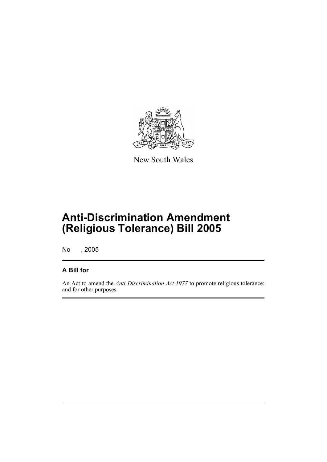

New South Wales

## **Anti-Discrimination Amendment (Religious Tolerance) Bill 2005**

No , 2005

#### **A Bill for**

An Act to amend the *Anti-Discrimination Act 1977* to promote religious tolerance; and for other purposes.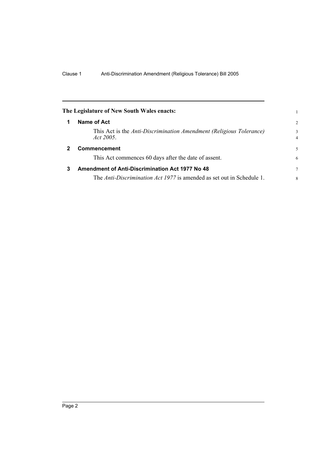<span id="page-5-2"></span><span id="page-5-1"></span><span id="page-5-0"></span>

|              | The Legislature of New South Wales enacts:                                       |                     |
|--------------|----------------------------------------------------------------------------------|---------------------|
| 1            | Name of Act                                                                      | $\overline{2}$      |
|              | This Act is the Anti-Discrimination Amendment (Religious Tolerance)<br>Act 2005. | 3<br>$\overline{4}$ |
| $\mathbf{2}$ | <b>Commencement</b>                                                              | 5                   |
|              | This Act commences 60 days after the date of assent.                             | 6                   |
| 3            | <b>Amendment of Anti-Discrimination Act 1977 No 48</b>                           | 7                   |
|              | The Anti-Discrimination Act 1977 is amended as set out in Schedule 1.            | 8                   |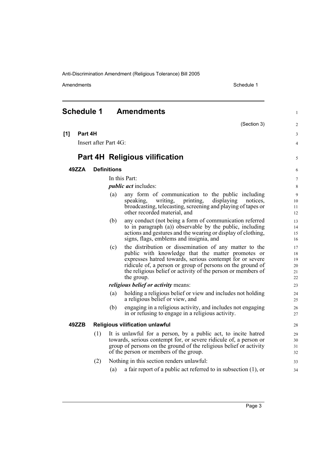Amendments Schedule 1

<span id="page-6-0"></span>

| <b>Schedule 1</b> |                       |     | <b>Amendments</b>                                                                                                       | 1              |  |
|-------------------|-----------------------|-----|-------------------------------------------------------------------------------------------------------------------------|----------------|--|
|                   |                       |     | (Section 3)                                                                                                             | $\overline{c}$ |  |
| [1]               | Part 4H               |     |                                                                                                                         | 3              |  |
|                   | Insert after Part 4G: |     |                                                                                                                         |                |  |
|                   |                       |     | <b>Part 4H Religious vilification</b>                                                                                   | 5              |  |
| 49ZZA             |                       |     | <b>Definitions</b>                                                                                                      | 6              |  |
|                   |                       |     | In this Part:                                                                                                           | $\overline{7}$ |  |
|                   |                       |     | <i>public act</i> includes:                                                                                             | 8              |  |
|                   |                       |     | any form of communication to the public including<br>(a)                                                                | 9              |  |
|                   |                       |     | writing,<br>printing,<br>displaying<br>notices.<br>speaking,                                                            | 10             |  |
|                   |                       |     | broadcasting, telecasting, screening and playing of tapes or<br>other recorded material, and                            | 11<br>12       |  |
|                   |                       |     | any conduct (not being a form of communication referred<br>(b)                                                          | 13             |  |
|                   |                       |     | to in paragraph (a)) observable by the public, including                                                                | 14             |  |
|                   |                       |     | actions and gestures and the wearing or display of clothing,                                                            | 15             |  |
|                   |                       |     | signs, flags, emblems and insignia, and                                                                                 | 16             |  |
|                   |                       |     | the distribution or dissemination of any matter to the<br>(c)                                                           | 17             |  |
|                   |                       |     | public with knowledge that the matter promotes or<br>expresses hatred towards, serious contempt for or severe           | 18<br>19       |  |
|                   |                       |     | ridicule of, a person or group of persons on the ground of                                                              | 20             |  |
|                   |                       |     | the religious belief or activity of the person or members of                                                            | 21             |  |
|                   |                       |     | the group.                                                                                                              | 22             |  |
|                   |                       |     | <i>religious belief or activity means:</i>                                                                              | 23             |  |
|                   |                       |     | holding a religious belief or view and includes not holding<br>(a)<br>a religious belief or view, and                   | 24<br>25       |  |
|                   |                       |     | engaging in a religious activity, and includes not engaging<br>(b)<br>in or refusing to engage in a religious activity. | 26<br>27       |  |
|                   | 49ZZB                 |     | <b>Religious vilification unlawful</b>                                                                                  | 28             |  |
|                   |                       | (1) | It is unlawful for a person, by a public act, to incite hatred                                                          |                |  |
|                   |                       |     | towards, serious contempt for, or severe ridicule of, a person or                                                       | 30             |  |
|                   |                       |     | group of persons on the ground of the religious belief or activity                                                      | 31             |  |
|                   |                       |     | of the person or members of the group.                                                                                  | 32             |  |
|                   |                       | (2) | Nothing in this section renders unlawful:                                                                               | 33             |  |
|                   |                       |     | a fair report of a public act referred to in subsection $(1)$ , or<br>(a)                                               | 34             |  |
|                   |                       |     |                                                                                                                         |                |  |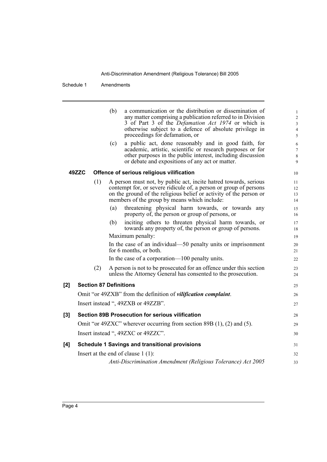Schedule 1 Amendments

|       |                                                                               |                               | (b)<br>(c)                                | a communication or the distribution or dissemination of<br>any matter comprising a publication referred to in Division<br>3 of Part 3 of the <i>Defamation Act 1974</i> or which is<br>otherwise subject to a defence of absolute privilege in<br>proceedings for defamation, or<br>a public act, done reasonably and in good faith, for<br>academic, artistic, scientific or research purposes or for<br>other purposes in the public interest, including discussion<br>or debate and expositions of any act or matter. | $\mathbf{1}$<br>$\overline{c}$<br>$\mathfrak{Z}$<br>$\overline{\mathbf{4}}$<br>5<br>6<br>$\tau$<br>$\,$ 8 $\,$<br>9 |
|-------|-------------------------------------------------------------------------------|-------------------------------|-------------------------------------------|--------------------------------------------------------------------------------------------------------------------------------------------------------------------------------------------------------------------------------------------------------------------------------------------------------------------------------------------------------------------------------------------------------------------------------------------------------------------------------------------------------------------------|---------------------------------------------------------------------------------------------------------------------|
| 49ZZC |                                                                               |                               | Offence of serious religious vilification |                                                                                                                                                                                                                                                                                                                                                                                                                                                                                                                          | 10                                                                                                                  |
|       |                                                                               | (1)                           |                                           | A person must not, by public act, incite hatred towards, serious<br>contempt for, or severe ridicule of, a person or group of persons<br>on the ground of the religious belief or activity of the person or<br>members of the group by means which include:                                                                                                                                                                                                                                                              | 11<br>12<br>13<br>14                                                                                                |
|       |                                                                               |                               | (a)                                       | threatening physical harm towards, or towards any<br>property of, the person or group of persons, or                                                                                                                                                                                                                                                                                                                                                                                                                     | 15<br>16                                                                                                            |
|       |                                                                               |                               | (b)                                       | inciting others to threaten physical harm towards, or<br>towards any property of, the person or group of persons.                                                                                                                                                                                                                                                                                                                                                                                                        | 17<br>18                                                                                                            |
|       |                                                                               |                               |                                           | Maximum penalty:                                                                                                                                                                                                                                                                                                                                                                                                                                                                                                         | 19                                                                                                                  |
|       |                                                                               |                               |                                           | In the case of an individual—50 penalty units or imprisonment<br>for 6 months, or both.                                                                                                                                                                                                                                                                                                                                                                                                                                  | 20<br>21                                                                                                            |
|       |                                                                               |                               |                                           | In the case of a corporation—100 penalty units.                                                                                                                                                                                                                                                                                                                                                                                                                                                                          | 22                                                                                                                  |
|       |                                                                               | (2)                           |                                           | A person is not to be prosecuted for an offence under this section<br>unless the Attorney General has consented to the prosecution.                                                                                                                                                                                                                                                                                                                                                                                      | 23<br>24                                                                                                            |
| [2]   |                                                                               | <b>Section 87 Definitions</b> |                                           |                                                                                                                                                                                                                                                                                                                                                                                                                                                                                                                          | 25                                                                                                                  |
|       | Omit "or 49ZXB" from the definition of <i>vilification complaint</i> .        |                               |                                           |                                                                                                                                                                                                                                                                                                                                                                                                                                                                                                                          |                                                                                                                     |
|       |                                                                               |                               |                                           | Insert instead ", 49ZXB or 49ZZB".                                                                                                                                                                                                                                                                                                                                                                                                                                                                                       | 27                                                                                                                  |
| [3]   | <b>Section 89B Prosecution for serious vilification</b>                       |                               |                                           |                                                                                                                                                                                                                                                                                                                                                                                                                                                                                                                          |                                                                                                                     |
|       | Omit "or 49ZXC" wherever occurring from section 89B $(1)$ , $(2)$ and $(5)$ . |                               |                                           |                                                                                                                                                                                                                                                                                                                                                                                                                                                                                                                          | 29                                                                                                                  |
|       | Insert instead ", 49ZXC or 49ZZC".                                            |                               |                                           |                                                                                                                                                                                                                                                                                                                                                                                                                                                                                                                          |                                                                                                                     |
| [4]   | <b>Schedule 1 Savings and transitional provisions</b>                         |                               |                                           | 31                                                                                                                                                                                                                                                                                                                                                                                                                                                                                                                       |                                                                                                                     |
|       |                                                                               |                               |                                           | Insert at the end of clause $1(1)$ :                                                                                                                                                                                                                                                                                                                                                                                                                                                                                     | 32                                                                                                                  |
|       |                                                                               |                               |                                           | Anti-Discrimination Amendment (Religious Tolerance) Act 2005                                                                                                                                                                                                                                                                                                                                                                                                                                                             | 33                                                                                                                  |
|       |                                                                               |                               |                                           |                                                                                                                                                                                                                                                                                                                                                                                                                                                                                                                          |                                                                                                                     |